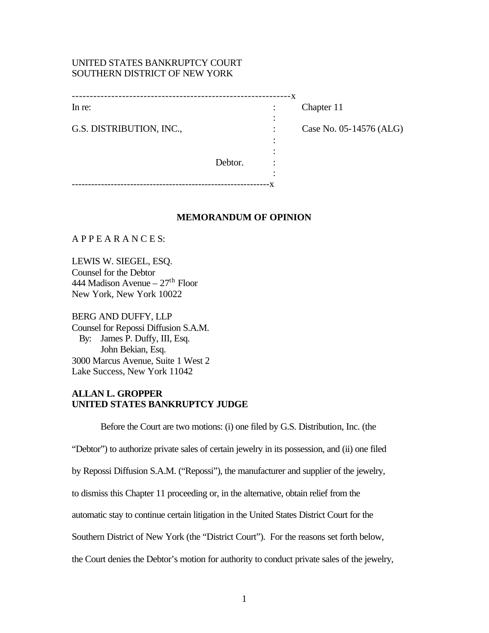# UNITED STATES BANKRUPTCY COURT SOUTHERN DISTRICT OF NEW YORK

|                          |         | - X |                         |
|--------------------------|---------|-----|-------------------------|
| In re:                   |         |     | Chapter 11              |
| G.S. DISTRIBUTION, INC., |         |     | Case No. 05-14576 (ALG) |
|                          |         |     |                         |
|                          | Debtor. |     |                         |
|                          |         |     |                         |
|                          |         |     |                         |

### **MEMORANDUM OF OPINION**

A P P E A R A N C E S:

LEWIS W. SIEGEL, ESQ. Counsel for the Debtor 444 Madison Avenue –  $27<sup>th</sup>$  Floor New York, New York 10022

BERG AND DUFFY, LLP Counsel for Repossi Diffusion S.A.M. By: James P. Duffy, III, Esq. John Bekian, Esq. 3000 Marcus Avenue, Suite 1 West 2 Lake Success, New York 11042

## **ALLAN L. GROPPER UNITED STATES BANKRUPTCY JUDGE**

Before the Court are two motions: (i) one filed by G.S. Distribution, Inc. (the "Debtor") to authorize private sales of certain jewelry in its possession, and (ii) one filed by Repossi Diffusion S.A.M. ("Repossi"), the manufacturer and supplier of the jewelry, to dismiss this Chapter 11 proceeding or, in the alternative, obtain relief from the automatic stay to continue certain litigation in the United States District Court for the Southern District of New York (the "District Court"). For the reasons set forth below, the Court denies the Debtor's motion for authority to conduct private sales of the jewelry,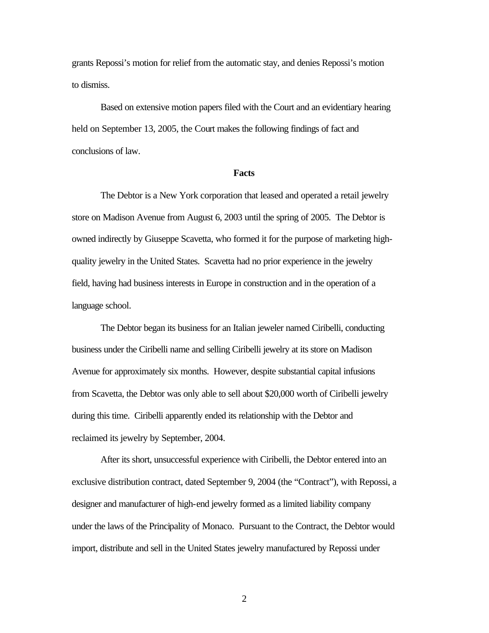grants Repossi's motion for relief from the automatic stay, and denies Repossi's motion to dismiss.

Based on extensive motion papers filed with the Court and an evidentiary hearing held on September 13, 2005, the Court makes the following findings of fact and conclusions of law.

#### **Facts**

The Debtor is a New York corporation that leased and operated a retail jewelry store on Madison Avenue from August 6, 2003 until the spring of 2005. The Debtor is owned indirectly by Giuseppe Scavetta, who formed it for the purpose of marketing highquality jewelry in the United States. Scavetta had no prior experience in the jewelry field, having had business interests in Europe in construction and in the operation of a language school.

The Debtor began its business for an Italian jeweler named Ciribelli, conducting business under the Ciribelli name and selling Ciribelli jewelry at its store on Madison Avenue for approximately six months. However, despite substantial capital infusions from Scavetta, the Debtor was only able to sell about \$20,000 worth of Ciribelli jewelry during this time. Ciribelli apparently ended its relationship with the Debtor and reclaimed its jewelry by September, 2004.

After its short, unsuccessful experience with Ciribelli, the Debtor entered into an exclusive distribution contract, dated September 9, 2004 (the "Contract"), with Repossi, a designer and manufacturer of high-end jewelry formed as a limited liability company under the laws of the Principality of Monaco. Pursuant to the Contract, the Debtor would import, distribute and sell in the United States jewelry manufactured by Repossi under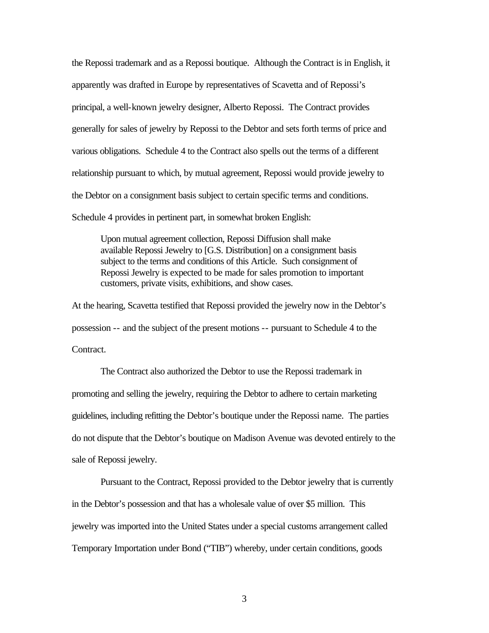the Repossi trademark and as a Repossi boutique. Although the Contract is in English, it apparently was drafted in Europe by representatives of Scavetta and of Repossi's principal, a well-known jewelry designer, Alberto Repossi. The Contract provides generally for sales of jewelry by Repossi to the Debtor and sets forth terms of price and various obligations. Schedule 4 to the Contract also spells out the terms of a different relationship pursuant to which, by mutual agreement, Repossi would provide jewelry to the Debtor on a consignment basis subject to certain specific terms and conditions. Schedule 4 provides in pertinent part, in somewhat broken English:

Upon mutual agreement collection, Repossi Diffusion shall make available Repossi Jewelry to [G.S. Distribution] on a consignment basis subject to the terms and conditions of this Article. Such consignment of Repossi Jewelry is expected to be made for sales promotion to important customers, private visits, exhibitions, and show cases.

At the hearing, Scavetta testified that Repossi provided the jewelry now in the Debtor's possession -- and the subject of the present motions -- pursuant to Schedule 4 to the Contract.

The Contract also authorized the Debtor to use the Repossi trademark in promoting and selling the jewelry, requiring the Debtor to adhere to certain marketing guidelines, including refitting the Debtor's boutique under the Repossi name. The parties do not dispute that the Debtor's boutique on Madison Avenue was devoted entirely to the sale of Repossi jewelry.

Pursuant to the Contract, Repossi provided to the Debtor jewelry that is currently in the Debtor's possession and that has a wholesale value of over \$5 million. This jewelry was imported into the United States under a special customs arrangement called Temporary Importation under Bond ("TIB") whereby, under certain conditions, goods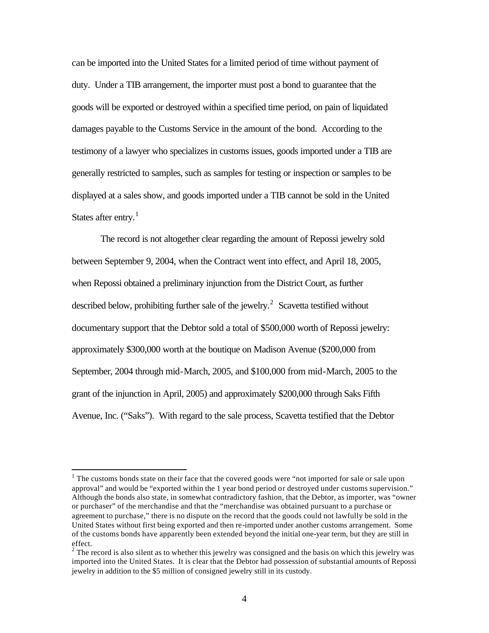can be imported into the United States for a limited period of time without payment of duty. Under a TIB arrangement, the importer must post a bond to guarantee that the goods will be exported or destroyed within a specified time period, on pain of liquidated damages payable to the Customs Service in the amount of the bond. According to the testimony of a lawyer who specializes in customs issues, goods imported under a TIB are generally restricted to samples, such as samples for testing or inspection or samples to be displayed at a sales show, and goods imported under a TIB cannot be sold in the United States after entry.<sup>1</sup>

The record is not altogether clear regarding the amount of Repossi jewelry sold between September 9, 2004, when the Contract went into effect, and April 18, 2005, when Repossi obtained a preliminary injunction from the District Court, as further described below, prohibiting further sale of the jewelry.<sup>2</sup> Scavetta testified without documentary support that the Debtor sold a total of \$500,000 worth of Repossi jewelry: approximately \$300,000 worth at the boutique on Madison Avenue (\$200,000 from September, 2004 through mid-March, 2005, and \$100,000 from mid-March, 2005 to the grant of the injunction in April, 2005) and approximately \$200,000 through Saks Fifth Avenue, Inc. ("Saks"). With regard to the sale process, Scavetta testified that the Debtor

 $\overline{a}$ 

 $1$  The customs bonds state on their face that the covered goods were "not imported for sale or sale upon approval" and would be "exported within the 1 year bond period or destroyed under customs supervision." Although the bonds also state, in somewhat contradictory fashion, that the Debtor, as importer, was "owner or purchaser" of the merchandise and that the "merchandise was obtained pursuant to a purchase or agreement to purchase," there is no dispute on the record that the goods could not lawfully be sold in the United States without first being exported and then re-imported under another customs arrangement. Some of the customs bonds have apparently been extended beyond the initial one-year term, but they are still in effect.

 $2^{2}$  The record is also silent as to whether this jewelry was consigned and the basis on which this jewelry was imported into the United States. It is clear that the Debtor had possession of substantial amounts of Repossi jewelry in addition to the \$5 million of consigned jewelry still in its custody.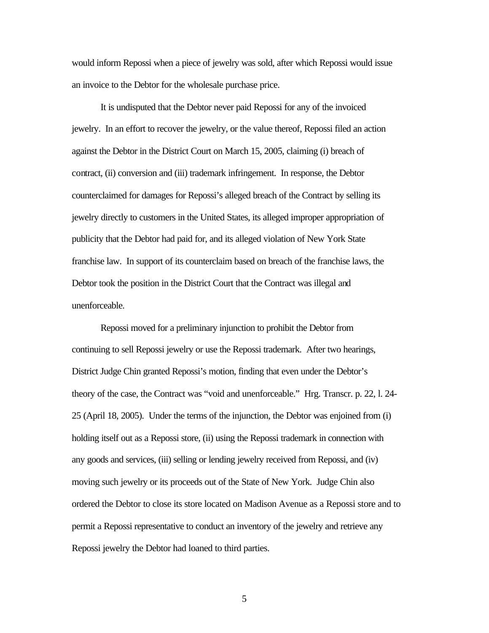would inform Repossi when a piece of jewelry was sold, after which Repossi would issue an invoice to the Debtor for the wholesale purchase price.

It is undisputed that the Debtor never paid Repossi for any of the invoiced jewelry. In an effort to recover the jewelry, or the value thereof, Repossi filed an action against the Debtor in the District Court on March 15, 2005, claiming (i) breach of contract, (ii) conversion and (iii) trademark infringement. In response, the Debtor counterclaimed for damages for Repossi's alleged breach of the Contract by selling its jewelry directly to customers in the United States, its alleged improper appropriation of publicity that the Debtor had paid for, and its alleged violation of New York State franchise law. In support of its counterclaim based on breach of the franchise laws, the Debtor took the position in the District Court that the Contract was illegal and unenforceable.

Repossi moved for a preliminary injunction to prohibit the Debtor from continuing to sell Repossi jewelry or use the Repossi trademark. After two hearings, District Judge Chin granted Repossi's motion, finding that even under the Debtor's theory of the case, the Contract was "void and unenforceable." Hrg. Transcr. p. 22, l. 24- 25 (April 18, 2005). Under the terms of the injunction, the Debtor was enjoined from (i) holding itself out as a Repossi store, (ii) using the Repossi trademark in connection with any goods and services, (iii) selling or lending jewelry received from Repossi, and (iv) moving such jewelry or its proceeds out of the State of New York. Judge Chin also ordered the Debtor to close its store located on Madison Avenue as a Repossi store and to permit a Repossi representative to conduct an inventory of the jewelry and retrieve any Repossi jewelry the Debtor had loaned to third parties.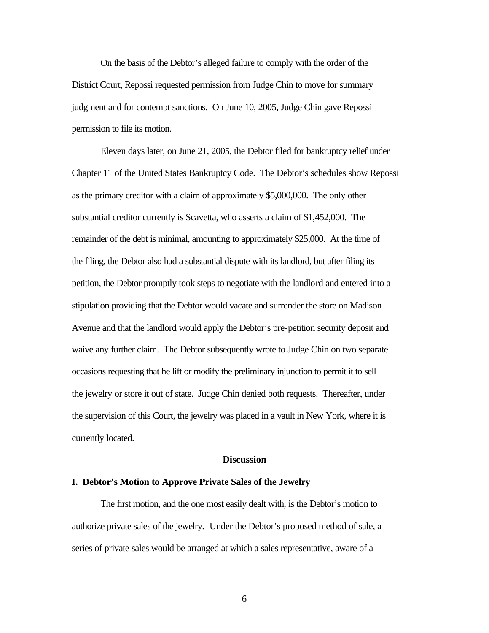On the basis of the Debtor's alleged failure to comply with the order of the District Court, Repossi requested permission from Judge Chin to move for summary judgment and for contempt sanctions. On June 10, 2005, Judge Chin gave Repossi permission to file its motion.

Eleven days later, on June 21, 2005, the Debtor filed for bankruptcy relief under Chapter 11 of the United States Bankruptcy Code. The Debtor's schedules show Repossi as the primary creditor with a claim of approximately \$5,000,000. The only other substantial creditor currently is Scavetta, who asserts a claim of \$1,452,000. The remainder of the debt is minimal, amounting to approximately \$25,000. At the time of the filing, the Debtor also had a substantial dispute with its landlord, but after filing its petition, the Debtor promptly took steps to negotiate with the landlord and entered into a stipulation providing that the Debtor would vacate and surrender the store on Madison Avenue and that the landlord would apply the Debtor's pre-petition security deposit and waive any further claim. The Debtor subsequently wrote to Judge Chin on two separate occasions requesting that he lift or modify the preliminary injunction to permit it to sell the jewelry or store it out of state. Judge Chin denied both requests. Thereafter, under the supervision of this Court, the jewelry was placed in a vault in New York, where it is currently located.

#### **Discussion**

#### **I. Debtor's Motion to Approve Private Sales of the Jewelry**

The first motion, and the one most easily dealt with, is the Debtor's motion to authorize private sales of the jewelry. Under the Debtor's proposed method of sale, a series of private sales would be arranged at which a sales representative, aware of a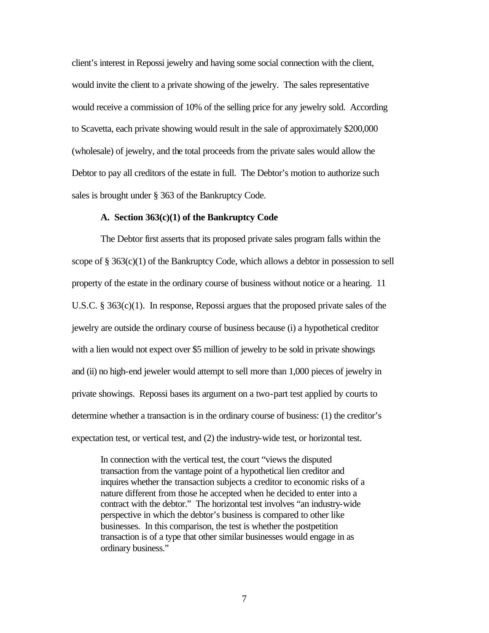client's interest in Repossi jewelry and having some social connection with the client, would invite the client to a private showing of the jewelry. The sales representative would receive a commission of 10% of the selling price for any jewelry sold. According to Scavetta, each private showing would result in the sale of approximately \$200,000 (wholesale) of jewelry, and the total proceeds from the private sales would allow the Debtor to pay all creditors of the estate in full. The Debtor's motion to authorize such sales is brought under § 363 of the Bankruptcy Code.

### **A. Section 363(c)(1) of the Bankruptcy Code**

The Debtor first asserts that its proposed private sales program falls within the scope of § 363(c)(1) of the Bankruptcy Code, which allows a debtor in possession to sell property of the estate in the ordinary course of business without notice or a hearing. 11 U.S.C. § 363(c)(1). In response, Repossi argues that the proposed private sales of the jewelry are outside the ordinary course of business because (i) a hypothetical creditor with a lien would not expect over \$5 million of jewelry to be sold in private showings and (ii) no high-end jeweler would attempt to sell more than 1,000 pieces of jewelry in private showings. Repossi bases its argument on a two-part test applied by courts to determine whether a transaction is in the ordinary course of business: (1) the creditor's expectation test, or vertical test, and (2) the industry-wide test, or horizontal test.

In connection with the vertical test, the court "views the disputed transaction from the vantage point of a hypothetical lien creditor and inquires whether the transaction subjects a creditor to economic risks of a nature different from those he accepted when he decided to enter into a contract with the debtor." The horizontal test involves "an industry-wide perspective in which the debtor's business is compared to other like businesses. In this comparison, the test is whether the postpetition transaction is of a type that other similar businesses would engage in as ordinary business."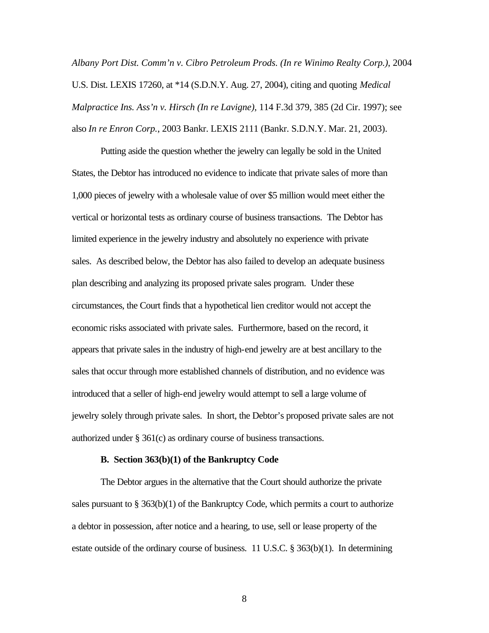*Albany Port Dist. Comm'n v. Cibro Petroleum Prods. (In re Winimo Realty Corp.)*, 2004 U.S. Dist. LEXIS 17260, at \*14 (S.D.N.Y. Aug. 27, 2004), citing and quoting *Medical Malpractice Ins. Ass'n v. Hirsch (In re Lavigne)*, 114 F.3d 379, 385 (2d Cir. 1997); see also *In re Enron Corp.*, 2003 Bankr. LEXIS 2111 (Bankr. S.D.N.Y. Mar. 21, 2003).

Putting aside the question whether the jewelry can legally be sold in the United States, the Debtor has introduced no evidence to indicate that private sales of more than 1,000 pieces of jewelry with a wholesale value of over \$5 million would meet either the vertical or horizontal tests as ordinary course of business transactions. The Debtor has limited experience in the jewelry industry and absolutely no experience with private sales. As described below, the Debtor has also failed to develop an adequate business plan describing and analyzing its proposed private sales program. Under these circumstances, the Court finds that a hypothetical lien creditor would not accept the economic risks associated with private sales. Furthermore, based on the record, it appears that private sales in the industry of high-end jewelry are at best ancillary to the sales that occur through more established channels of distribution, and no evidence was introduced that a seller of high-end jewelry would attempt to sell a large volume of jewelry solely through private sales. In short, the Debtor's proposed private sales are not authorized under § 361(c) as ordinary course of business transactions.

#### **B. Section 363(b)(1) of the Bankruptcy Code**

The Debtor argues in the alternative that the Court should authorize the private sales pursuant to  $\S 363(b)(1)$  of the Bankruptcy Code, which permits a court to authorize a debtor in possession, after notice and a hearing, to use, sell or lease property of the estate outside of the ordinary course of business. 11 U.S.C. § 363(b)(1). In determining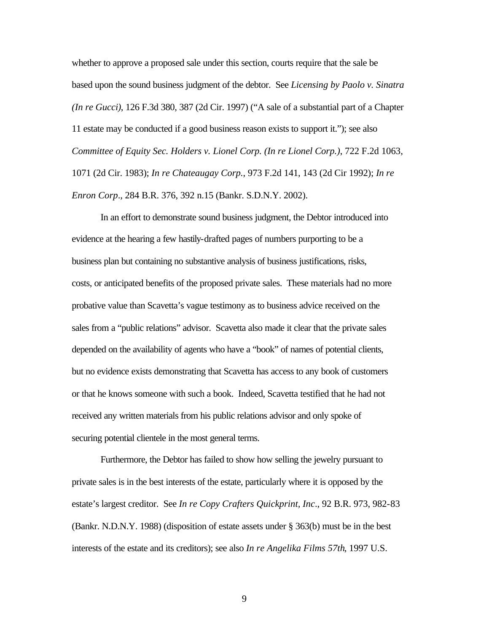whether to approve a proposed sale under this section, courts require that the sale be based upon the sound business judgment of the debtor. See *Licensing by Paolo v. Sinatra (In re Gucci)*, 126 F.3d 380, 387 (2d Cir. 1997) ("A sale of a substantial part of a Chapter 11 estate may be conducted if a good business reason exists to support it."); see also *Committee of Equity Sec. Holders v. Lionel Corp. (In re Lionel Corp.)*, 722 F.2d 1063, 1071 (2d Cir. 1983); *In re Chateaugay Corp.*, 973 F.2d 141, 143 (2d Cir 1992); *In re Enron Corp*., 284 B.R. 376, 392 n.15 (Bankr. S.D.N.Y. 2002).

In an effort to demonstrate sound business judgment, the Debtor introduced into evidence at the hearing a few hastily-drafted pages of numbers purporting to be a business plan but containing no substantive analysis of business justifications, risks, costs, or anticipated benefits of the proposed private sales. These materials had no more probative value than Scavetta's vague testimony as to business advice received on the sales from a "public relations" advisor. Scavetta also made it clear that the private sales depended on the availability of agents who have a "book" of names of potential clients, but no evidence exists demonstrating that Scavetta has access to any book of customers or that he knows someone with such a book. Indeed, Scavetta testified that he had not received any written materials from his public relations advisor and only spoke of securing potential clientele in the most general terms.

Furthermore, the Debtor has failed to show how selling the jewelry pursuant to private sales is in the best interests of the estate, particularly where it is opposed by the estate's largest creditor. See *In re Copy Crafters Quickprint, Inc*., 92 B.R. 973, 982-83 (Bankr. N.D.N.Y. 1988) (disposition of estate assets under § 363(b) must be in the best interests of the estate and its creditors); see also *In re Angelika Films 57th*, 1997 U.S.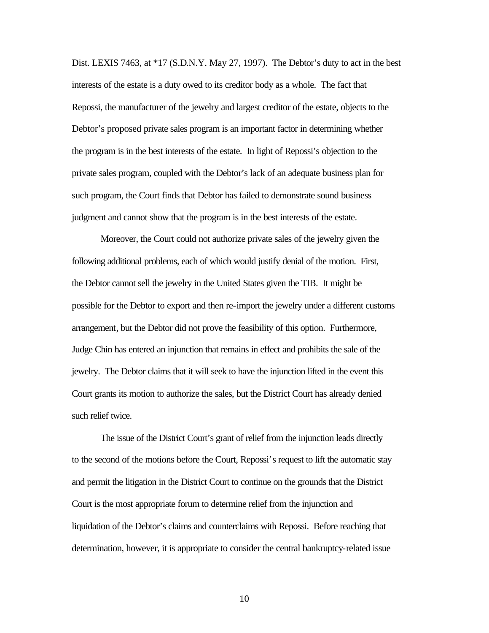Dist. LEXIS 7463, at \*17 (S.D.N.Y. May 27, 1997). The Debtor's duty to act in the best interests of the estate is a duty owed to its creditor body as a whole. The fact that Repossi, the manufacturer of the jewelry and largest creditor of the estate, objects to the Debtor's proposed private sales program is an important factor in determining whether the program is in the best interests of the estate. In light of Repossi's objection to the private sales program, coupled with the Debtor's lack of an adequate business plan for such program, the Court finds that Debtor has failed to demonstrate sound business judgment and cannot show that the program is in the best interests of the estate.

Moreover, the Court could not authorize private sales of the jewelry given the following additional problems, each of which would justify denial of the motion. First, the Debtor cannot sell the jewelry in the United States given the TIB. It might be possible for the Debtor to export and then re-import the jewelry under a different customs arrangement, but the Debtor did not prove the feasibility of this option. Furthermore, Judge Chin has entered an injunction that remains in effect and prohibits the sale of the jewelry. The Debtor claims that it will seek to have the injunction lifted in the event this Court grants its motion to authorize the sales, but the District Court has already denied such relief twice.

The issue of the District Court's grant of relief from the injunction leads directly to the second of the motions before the Court, Repossi's request to lift the automatic stay and permit the litigation in the District Court to continue on the grounds that the District Court is the most appropriate forum to determine relief from the injunction and liquidation of the Debtor's claims and counterclaims with Repossi. Before reaching that determination, however, it is appropriate to consider the central bankruptcy-related issue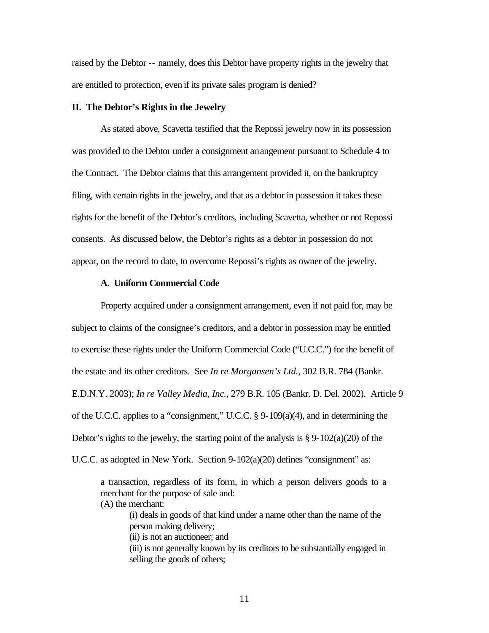raised by the Debtor -- namely, does this Debtor have property rights in the jewelry that are entitled to protection, even if its private sales program is denied?

## **II. The Debtor's Rights in the Jewelry**

As stated above, Scavetta testified that the Repossi jewelry now in its possession was provided to the Debtor under a consignment arrangement pursuant to Schedule 4 to the Contract. The Debtor claims that this arrangement provided it, on the bankruptcy filing, with certain rights in the jewelry, and that as a debtor in possession it takes these rights for the benefit of the Debtor's creditors, including Scavetta, whether or not Repossi consents. As discussed below, the Debtor's rights as a debtor in possession do not appear, on the record to date, to overcome Repossi's rights as owner of the jewelry.

## **A. Uniform Commercial Code**

Property acquired under a consignment arrangement, even if not paid for, may be subject to claims of the consignee's creditors, and a debtor in possession may be entitled to exercise these rights under the Uniform Commercial Code ("U.C.C.") for the benefit of the estate and its other creditors. See *In re Morgansen's Ltd.*, 302 B.R. 784 (Bankr. E.D.N.Y. 2003); *In re Valley Media, Inc.*, 279 B.R. 105 (Bankr. D. Del. 2002). Article 9 of the U.C.C. applies to a "consignment," U.C.C.  $\S 9 - 109(a)(4)$ , and in determining the Debtor's rights to the jewelry, the starting point of the analysis is  $\S 9-102(a)(20)$  of the U.C.C. as adopted in New York. Section 9-102(a)(20) defines "consignment" as:

a transaction, regardless of its form, in which a person delivers goods to a merchant for the purpose of sale and: (A) the merchant:

(i) deals in goods of that kind under a name other than the name of the person making delivery; (ii) is not an auctioneer; and

(iii) is not generally known by its creditors to be substantially engaged in selling the goods of others;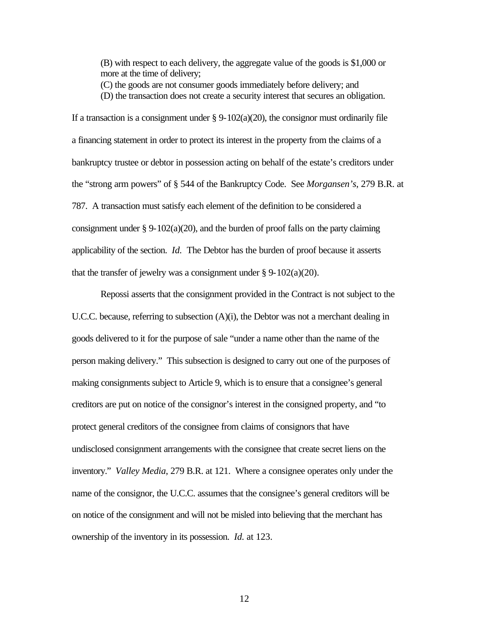(B) with respect to each delivery, the aggregate value of the goods is \$1,000 or more at the time of delivery;

(C) the goods are not consumer goods immediately before delivery; and

(D) the transaction does not create a security interest that secures an obligation.

If a transaction is a consignment under  $\S$  9-102(a)(20), the consignor must ordinarily file a financing statement in order to protect its interest in the property from the claims of a bankruptcy trustee or debtor in possession acting on behalf of the estate's creditors under the "strong arm powers" of § 544 of the Bankruptcy Code. See *Morgansen's*, 279 B.R. at 787. A transaction must satisfy each element of the definition to be considered a consignment under  $\S 9-102(a)(20)$ , and the burden of proof falls on the party claiming applicability of the section. *Id.* The Debtor has the burden of proof because it asserts that the transfer of jewelry was a consignment under  $\S 9-102(a)(20)$ .

Repossi asserts that the consignment provided in the Contract is not subject to the U.C.C. because, referring to subsection  $(A)(i)$ , the Debtor was not a merchant dealing in goods delivered to it for the purpose of sale "under a name other than the name of the person making delivery." This subsection is designed to carry out one of the purposes of making consignments subject to Article 9, which is to ensure that a consignee's general creditors are put on notice of the consignor's interest in the consigned property, and "to protect general creditors of the consignee from claims of consignors that have undisclosed consignment arrangements with the consignee that create secret liens on the inventory." *Valley Media*, 279 B.R. at 121. Where a consignee operates only under the name of the consignor, the U.C.C. assumes that the consignee's general creditors will be on notice of the consignment and will not be misled into believing that the merchant has ownership of the inventory in its possession. *Id.* at 123.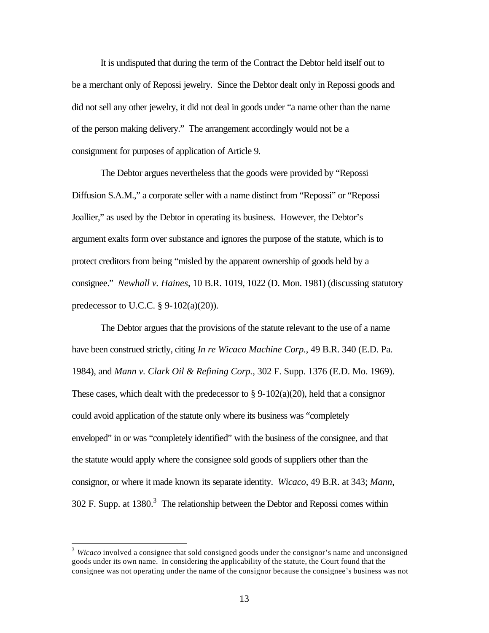It is undisputed that during the term of the Contract the Debtor held itself out to be a merchant only of Repossi jewelry. Since the Debtor dealt only in Repossi goods and did not sell any other jewelry, it did not deal in goods under "a name other than the name of the person making delivery." The arrangement accordingly would not be a consignment for purposes of application of Article 9.

The Debtor argues nevertheless that the goods were provided by "Repossi Diffusion S.A.M.," a corporate seller with a name distinct from "Repossi" or "Repossi Joallier," as used by the Debtor in operating its business. However, the Debtor's argument exalts form over substance and ignores the purpose of the statute, which is to protect creditors from being "misled by the apparent ownership of goods held by a consignee." *Newhall v. Haines*, 10 B.R. 1019, 1022 (D. Mon. 1981) (discussing statutory predecessor to U.C.C. § 9-102(a)(20)).

The Debtor argues that the provisions of the statute relevant to the use of a name have been construed strictly, citing *In re Wicaco Machine Corp.*, 49 B.R. 340 (E.D. Pa. 1984), and *Mann v. Clark Oil & Refining Corp.*, 302 F. Supp. 1376 (E.D. Mo. 1969). These cases, which dealt with the predecessor to  $\S 9-102(a)(20)$ , held that a consignor could avoid application of the statute only where its business was "completely enveloped" in or was "completely identified" with the business of the consignee, and that the statute would apply where the consignee sold goods of suppliers other than the consignor, or where it made known its separate identity. *Wicaco*, 49 B.R. at 343; *Mann*, 302 F. Supp. at  $1380<sup>3</sup>$  The relationship between the Debtor and Repossi comes within

 $\overline{a}$ 

<sup>3</sup> *Wicaco* involved a consignee that sold consigned goods under the consignor's name and unconsigned goods under its own name.In considering the applicability of the statute, the Court found that the consignee was not operating under the name of the consignor because the consignee's business was not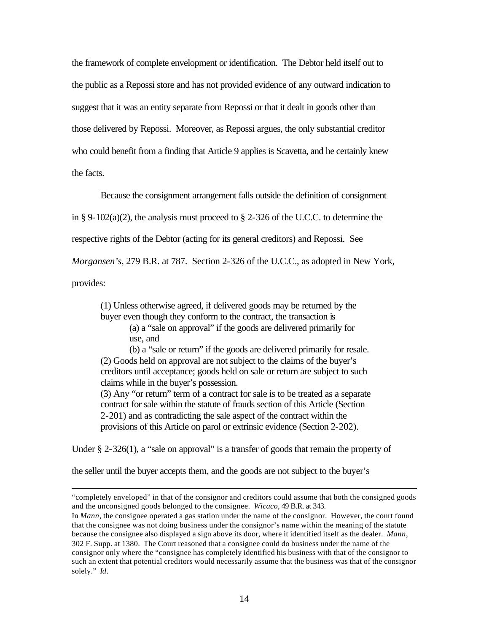the framework of complete envelopment or identification. The Debtor held itself out to the public as a Repossi store and has not provided evidence of any outward indication to suggest that it was an entity separate from Repossi or that it dealt in goods other than those delivered by Repossi. Moreover, as Repossi argues, the only substantial creditor who could benefit from a finding that Article 9 applies is Scavetta, and he certainly knew the facts.

Because the consignment arrangement falls outside the definition of consignment

in § 9-102(a)(2), the analysis must proceed to § 2-326 of the U.C.C. to determine the

respective rights of the Debtor (acting for its general creditors) and Repossi. See

*Morgansen's*, 279 B.R. at 787. Section 2-326 of the U.C.C., as adopted in New York,

provides:

 $\overline{a}$ 

(1) Unless otherwise agreed, if delivered goods may be returned by the buyer even though they conform to the contract, the transaction is (a) a "sale on approval" if the goods are delivered primarily for use, and

(b) a "sale or return" if the goods are delivered primarily for resale. (2) Goods held on approval are not subject to the claims of the buyer's creditors until acceptance; goods held on sale or return are subject to such claims while in the buyer's possession.

(3) Any "or return" term of a contract for sale is to be treated as a separate contract for sale within the statute of frauds section of this Article (Section 2-201) and as contradicting the sale aspect of the contract within the provisions of this Article on parol or extrinsic evidence (Section 2-202).

Under § 2-326(1), a "sale on approval" is a transfer of goods that remain the property of

the seller until the buyer accepts them, and the goods are not subject to the buyer's

<sup>&</sup>quot;completely enveloped" in that of the consignor and creditors could assume that both the consigned goods and the unconsigned goods belonged to the consignee. *Wicaco*, 49 B.R. at 343.

In *Mann*, the consignee operated a gas station under the name of the consignor. However, the court found that the consignee was not doing business under the consignor's name within the meaning of the statute because the consignee also displayed a sign above its door, where it identified itself as the dealer. *Mann*, 302 F. Supp. at 1380. The Court reasoned that a consignee could do business under the name of the consignor only where the "consignee has completely identified his business with that of the consignor to such an extent that potential creditors would necessarily assume that the business was that of the consignor solely." *Id*.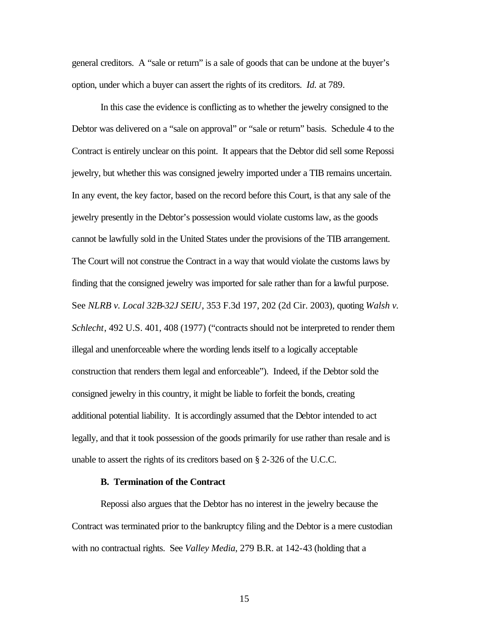general creditors. A "sale or return" is a sale of goods that can be undone at the buyer's option, under which a buyer can assert the rights of its creditors. *Id.* at 789.

In this case the evidence is conflicting as to whether the jewelry consigned to the Debtor was delivered on a "sale on approval" or "sale or return" basis. Schedule 4 to the Contract is entirely unclear on this point. It appears that the Debtor did sell some Repossi jewelry, but whether this was consigned jewelry imported under a TIB remains uncertain. In any event, the key factor, based on the record before this Court, is that any sale of the jewelry presently in the Debtor's possession would violate customs law, as the goods cannot be lawfully sold in the United States under the provisions of the TIB arrangement. The Court will not construe the Contract in a way that would violate the customs laws by finding that the consigned jewelry was imported for sale rather than for a lawful purpose. See *NLRB v. Local 32B-32J SEIU*, 353 F.3d 197, 202 (2d Cir. 2003), quoting *Walsh v. Schlecht*, 492 U.S. 401, 408 (1977) ("contracts should not be interpreted to render them illegal and unenforceable where the wording lends itself to a logically acceptable construction that renders them legal and enforceable"). Indeed, if the Debtor sold the consigned jewelry in this country, it might be liable to forfeit the bonds, creating additional potential liability. It is accordingly assumed that the Debtor intended to act legally, and that it took possession of the goods primarily for use rather than resale and is unable to assert the rights of its creditors based on § 2-326 of the U.C.C.

#### **B. Termination of the Contract**

Repossi also argues that the Debtor has no interest in the jewelry because the Contract was terminated prior to the bankruptcy filing and the Debtor is a mere custodian with no contractual rights. See *Valley Media*, 279 B.R. at 142-43 (holding that a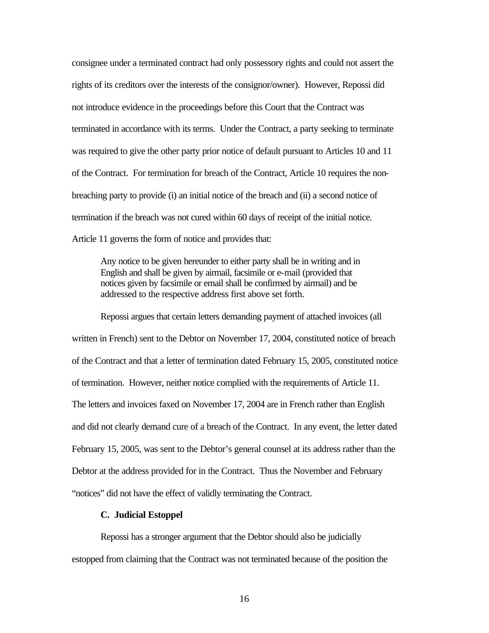consignee under a terminated contract had only possessory rights and could not assert the rights of its creditors over the interests of the consignor/owner). However, Repossi did not introduce evidence in the proceedings before this Court that the Contract was terminated in accordance with its terms. Under the Contract, a party seeking to terminate was required to give the other party prior notice of default pursuant to Articles 10 and 11 of the Contract. For termination for breach of the Contract, Article 10 requires the nonbreaching party to provide (i) an initial notice of the breach and (ii) a second notice of termination if the breach was not cured within 60 days of receipt of the initial notice. Article 11 governs the form of notice and provides that:

Any notice to be given hereunder to either party shall be in writing and in English and shall be given by airmail, facsimile or e-mail (provided that notices given by facsimile or email shall be confirmed by airmail) and be addressed to the respective address first above set forth.

Repossi argues that certain letters demanding payment of attached invoices (all written in French) sent to the Debtor on November 17, 2004, constituted notice of breach of the Contract and that a letter of termination dated February 15, 2005, constituted notice of termination. However, neither notice complied with the requirements of Article 11. The letters and invoices faxed on November 17, 2004 are in French rather than English and did not clearly demand cure of a breach of the Contract. In any event, the letter dated February 15, 2005, was sent to the Debtor's general counsel at its address rather than the Debtor at the address provided for in the Contract. Thus the November and February "notices" did not have the effect of validly terminating the Contract.

## **C. Judicial Estoppel**

Repossi has a stronger argument that the Debtor should also be judicially estopped from claiming that the Contract was not terminated because of the position the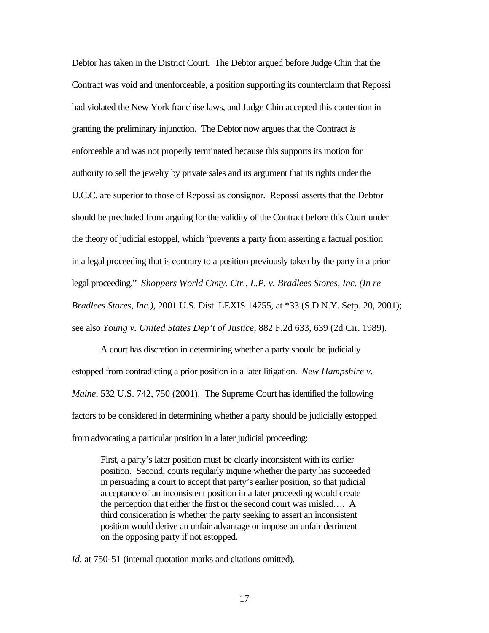Debtor has taken in the District Court. The Debtor argued before Judge Chin that the Contract was void and unenforceable, a position supporting its counterclaim that Repossi had violated the New York franchise laws, and Judge Chin accepted this contention in granting the preliminary injunction. The Debtor now argues that the Contract *is* enforceable and was not properly terminated because this supports its motion for authority to sell the jewelry by private sales and its argument that its rights under the U.C.C. are superior to those of Repossi as consignor. Repossi asserts that the Debtor should be precluded from arguing for the validity of the Contract before this Court under the theory of judicial estoppel, which "prevents a party from asserting a factual position in a legal proceeding that is contrary to a position previously taken by the party in a prior legal proceeding." *Shoppers World Cmty. Ctr., L.P. v. Bradlees Stores, Inc. (In re Bradlees Stores, Inc.)*, 2001 U.S. Dist. LEXIS 14755, at \*33 (S.D.N.Y. Setp. 20, 2001); see also *Young v. United States Dep't of Justice*, 882 F.2d 633, 639 (2d Cir. 1989).

A court has discretion in determining whether a party should be judicially estopped from contradicting a prior position in a later litigation. *New Hampshire v. Maine*, 532 U.S. 742, 750 (2001). The Supreme Court has identified the following factors to be considered in determining whether a party should be judicially estopped fromadvocating a particular position in a later judicial proceeding:

First, a party's later position must be clearly inconsistent with its earlier position. Second, courts regularly inquire whether the party has succeeded in persuading a court to accept that party's earlier position, so that judicial acceptance of an inconsistent position in a later proceeding would create the perception that either the first or the second court was misled…. A third consideration is whether the party seeking to assert an inconsistent position would derive an unfair advantage or impose an unfair detriment on the opposing party if not estopped.

*Id.* at 750-51 (internal quotation marks and citations omitted).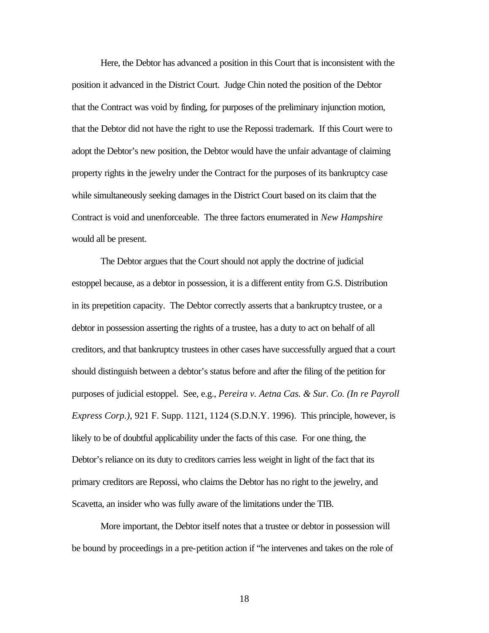Here, the Debtor has advanced a position in this Court that is inconsistent with the position it advanced in the District Court. Judge Chin noted the position of the Debtor that the Contract was void by finding, for purposes of the preliminary injunction motion, that the Debtor did not have the right to use the Repossi trademark. If this Court were to adopt the Debtor's new position, the Debtor would have the unfair advantage of claiming property rights in the jewelry under the Contract for the purposes of its bankruptcy case while simultaneously seeking damages in the District Court based on its claim that the Contract is void and unenforceable. The three factors enumerated in *New Hampshire* would all be present.

The Debtor argues that the Court should not apply the doctrine of judicial estoppel because, as a debtor in possession, it is a different entity from G.S. Distribution in its prepetition capacity. The Debtor correctly asserts that a bankruptcy trustee, or a debtor in possession asserting the rights of a trustee, has a duty to act on behalf of all creditors, and that bankruptcy trustees in other cases have successfully argued that a court should distinguish between a debtor's status before and after the filing of the petition for purposes of judicial estoppel. See, e.g., *Pereira v. Aetna Cas. & Sur. Co. (In re Payroll Express Corp.)*, 921 F. Supp. 1121, 1124 (S.D.N.Y. 1996). This principle, however, is likely to be of doubtful applicability under the facts of this case. For one thing, the Debtor's reliance on its duty to creditors carries less weight in light of the fact that its primary creditors are Repossi, who claims the Debtor has no right to the jewelry, and Scavetta, an insider who was fully aware of the limitations under the TIB.

More important, the Debtor itself notes that a trustee or debtor in possession will be bound by proceedings in a pre-petition action if "he intervenes and takes on the role of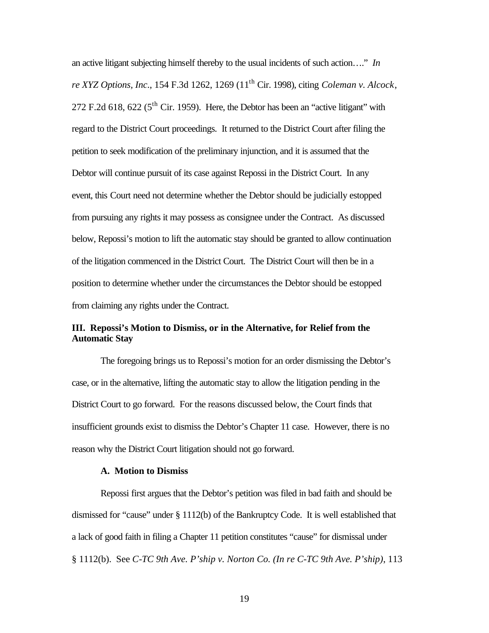an active litigant subjecting himself thereby to the usual incidents of such action…." *In re XYZ Options, Inc*., 154 F.3d 1262, 1269 (11th Cir. 1998), citing *Coleman v. Alcock*, 272 F.2d 618, 622 ( $5^{\text{th}}$  Cir. 1959). Here, the Debtor has been an "active litigant" with regard to the District Court proceedings. It returned to the District Court after filing the petition to seek modification of the preliminary injunction, and it is assumed that the Debtor will continue pursuit of its case against Repossi in the District Court. In any event, this Court need not determine whether the Debtor should be judicially estopped from pursuing any rights it may possess as consignee under the Contract. As discussed below, Repossi's motion to lift the automatic stay should be granted to allow continuation of the litigation commenced in the District Court. The District Court will then be in a position to determine whether under the circumstances the Debtor should be estopped from claiming any rights under the Contract.

# **III. Repossi's Motion to Dismiss, or in the Alternative, for Relief from the Automatic Stay**

The foregoing brings us to Repossi's motion for an order dismissing the Debtor's case, or in the alternative, lifting the automatic stay to allow the litigation pending in the District Court to go forward. For the reasons discussed below, the Court finds that insufficient grounds exist to dismiss the Debtor's Chapter 11 case. However, there is no reason why the District Court litigation should not go forward.

### **A. Motion to Dismiss**

Repossi first argues that the Debtor's petition was filed in bad faith and should be dismissed for "cause" under § 1112(b) of the Bankruptcy Code. It is well established that a lack of good faith in filing a Chapter 11 petition constitutes "cause" for dismissal under § 1112(b). See *C-TC 9th Ave. P'ship v. Norton Co. (In re C-TC 9th Ave. P'ship)*, 113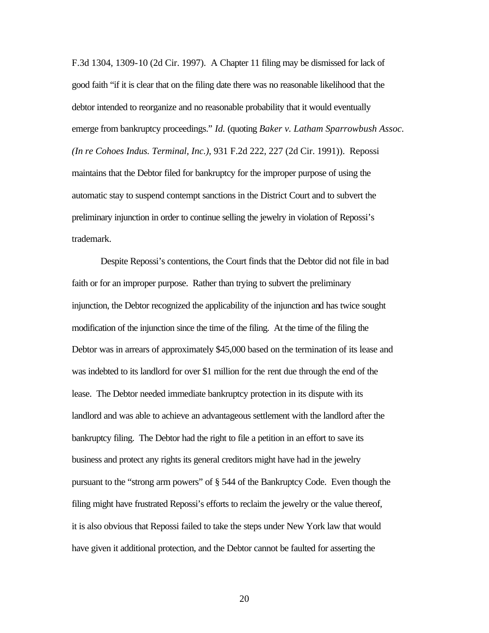F.3d 1304, 1309-10 (2d Cir. 1997). A Chapter 11 filing may be dismissed for lack of good faith "if it is clear that on the filing date there was no reasonable likelihood that the debtor intended to reorganize and no reasonable probability that it would eventually emerge from bankruptcy proceedings." *Id.* (quoting *Baker v. Latham Sparrowbush Assoc. (In re Cohoes Indus. Terminal, Inc.)*, 931 F.2d 222, 227 (2d Cir. 1991)). Repossi maintains that the Debtor filed for bankruptcy for the improper purpose of using the automatic stay to suspend contempt sanctions in the District Court and to subvert the preliminary injunction in order to continue selling the jewelry in violation of Repossi's trademark.

Despite Repossi's contentions, the Court finds that the Debtor did not file in bad faith or for an improper purpose. Rather than trying to subvert the preliminary injunction, the Debtor recognized the applicability of the injunction and has twice sought modification of the injunction since the time of the filing. At the time of the filing the Debtor was in arrears of approximately \$45,000 based on the termination of its lease and was indebted to its landlord for over \$1 million for the rent due through the end of the lease. The Debtor needed immediate bankruptcy protection in its dispute with its landlord and was able to achieve an advantageous settlement with the landlord after the bankruptcy filing. The Debtor had the right to file a petition in an effort to save its business and protect any rights its general creditors might have had in the jewelry pursuant to the "strong arm powers" of § 544 of the Bankruptcy Code. Even though the filing might have frustrated Repossi's efforts to reclaim the jewelry or the value thereof, it is also obvious that Repossi failed to take the steps under New York law that would have given it additional protection, and the Debtor cannot be faulted for asserting the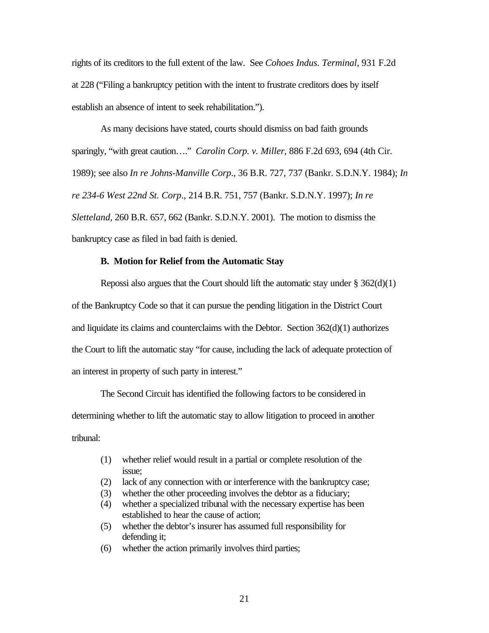rights of its creditors to the full extent of the law. See *Cohoes Indus. Terminal*, 931 F.2d at 228 ("Filing a bankruptcy petition with the intent to frustrate creditors does by itself establish an absence of intent to seek rehabilitation.").

As many decisions have stated, courts should dismiss on bad faith grounds sparingly, "with great caution…." *Carolin Corp. v. Miller*, 886 F.2d 693, 694 (4th Cir. 1989); see also *In re Johns-Manville Corp*., 36 B.R. 727, 737 (Bankr. S.D.N.Y. 1984); *In re 234-6 West 22nd St. Corp*., 214 B.R. 751, 757 (Bankr. S.D.N.Y. 1997); *In re Sletteland*, 260 B.R. 657, 662 (Bankr. S.D.N.Y. 2001). The motion to dismiss the bankruptcy case as filed in bad faith is denied.

#### **B. Motion for Relief from the Automatic Stay**

Repossi also argues that the Court should lift the automatic stay under  $\S 362(d)(1)$ of the Bankruptcy Code so that it can pursue the pending litigation in the District Court and liquidate its claims and counterclaims with the Debtor. Section 362(d)(1) authorizes the Court to lift the automatic stay "for cause, including the lack of adequate protection of an interest in property of such party in interest."

The Second Circuit has identified the following factors to be considered in determining whether to lift the automatic stay to allow litigation to proceed in another tribunal:

- (1) whether relief would result in a partial or complete resolution of the issue;
- (2) lack of any connection with or interference with the bankruptcy case;
- (3) whether the other proceeding involves the debtor as a fiduciary;
- (4) whether a specialized tribunal with the necessary expertise has been established to hear the cause of action;
- (5) whether the debtor's insurer has assumed full responsibility for defending it;
- (6) whether the action primarily involves third parties;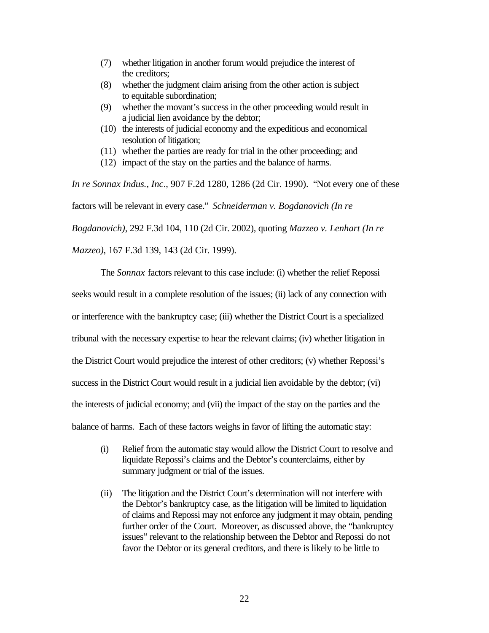- (7) whether litigation in another forum would prejudice the interest of the creditors;
- (8) whether the judgment claim arising from the other action is subject to equitable subordination;
- (9) whether the movant's success in the other proceeding would result in a judicial lien avoidance by the debtor;
- (10) the interests of judicial economy and the expeditious and economical resolution of litigation;
- (11) whether the parties are ready for trial in the other proceeding; and
- (12) impact of the stay on the parties and the balance of harms.

*In re Sonnax Indus., Inc*., 907 F.2d 1280, 1286 (2d Cir. 1990). "Not every one of these factors will be relevant in every case." *Schneiderman v. Bogdanovich (In re Bogdanovich)*, 292 F.3d 104, 110 (2d Cir. 2002), quoting *Mazzeo v. Lenhart (In re* 

*Mazzeo)*, 167 F.3d 139, 143 (2d Cir. 1999).

The *Sonnax* factors relevant to this case include: (i) whether the relief Repossi seeks would result in a complete resolution of the issues; (ii) lack of any connection with or interference with the bankruptcy case; (iii) whether the District Court is a specialized tribunal with the necessary expertise to hear the relevant claims; (iv) whether litigation in the District Court would prejudice the interest of other creditors; (v) whether Repossi's success in the District Court would result in a judicial lien avoidable by the debtor; (vi) the interests of judicial economy; and (vii) the impact of the stay on the parties and the balance of harms. Each of these factors weighs in favor of lifting the automatic stay:

- (i) Relief from the automatic stay would allow the District Court to resolve and liquidate Repossi's claims and the Debtor's counterclaims, either by summary judgment or trial of the issues.
- (ii) The litigation and the District Court's determination will not interfere with the Debtor's bankruptcy case, as the litigation will be limited to liquidation of claims and Repossi may not enforce any judgment it may obtain, pending further order of the Court. Moreover, as discussed above, the "bankruptcy issues" relevant to the relationship between the Debtor and Repossi do not favor the Debtor or its general creditors, and there is likely to be little to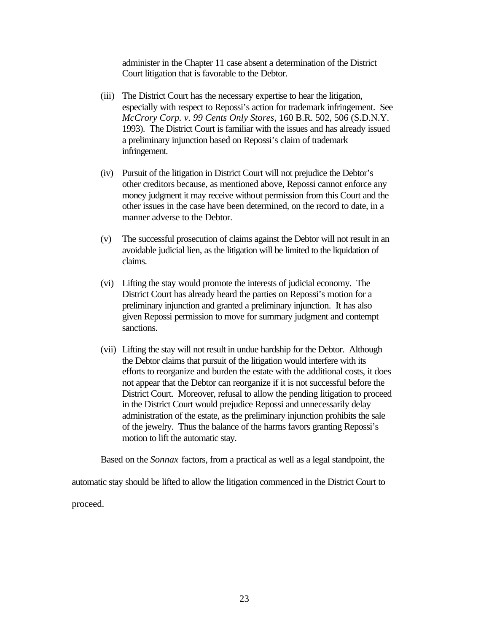administer in the Chapter 11 case absent a determination of the District Court litigation that is favorable to the Debtor.

- (iii) The District Court has the necessary expertise to hear the litigation, especially with respect to Repossi's action for trademark infringement. See *McCrory Corp. v. 99 Cents Only Stores*, 160 B.R. 502, 506 (S.D.N.Y. 1993). The District Court is familiar with the issues and has already issued a preliminary injunction based on Repossi's claim of trademark infringement.
- (iv) Pursuit of the litigation in District Court will not prejudice the Debtor's other creditors because, as mentioned above, Repossi cannot enforce any money judgment it may receive without permission from this Court and the other issues in the case have been determined, on the record to date, in a manner adverse to the Debtor.
- (v) The successful prosecution of claims against the Debtor will not result in an avoidable judicial lien, as the litigation will be limited to the liquidation of claims.
- (vi) Lifting the stay would promote the interests of judicial economy. The District Court has already heard the parties on Repossi's motion for a preliminary injunction and granted a preliminary injunction. It has also given Repossi permission to move for summary judgment and contempt sanctions.
- (vii) Lifting the stay will not result in undue hardship for the Debtor. Although the Debtor claims that pursuit of the litigation would interfere with its efforts to reorganize and burden the estate with the additional costs, it does not appear that the Debtor can reorganize if it is not successful before the District Court. Moreover, refusal to allow the pending litigation to proceed in the District Court would prejudice Repossi and unnecessarily delay administration of the estate, as the preliminary injunction prohibits the sale of the jewelry. Thus the balance of the harms favors granting Repossi's motion to lift the automatic stay.

Based on the *Sonnax* factors, from a practical as well as a legal standpoint, the

automatic stay should be lifted to allow the litigation commenced in the District Court to proceed.